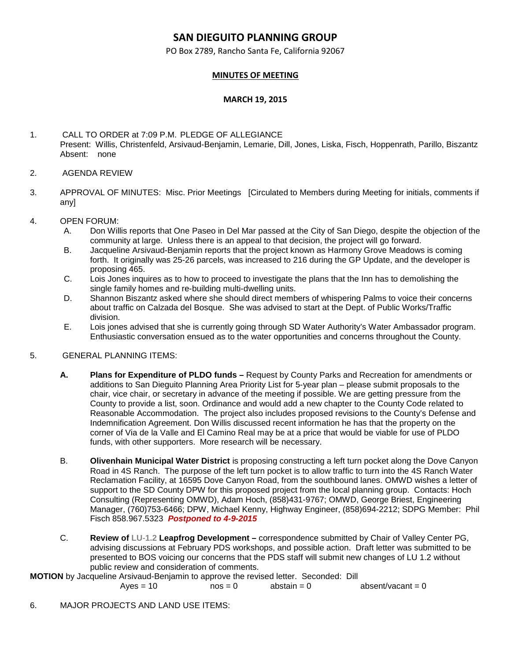## **SAN DIEGUITO PLANNING GROUP**

PO Box 2789, Rancho Santa Fe, California 92067

## **MINUTES OF MEETING**

## **MARCH 19, 2015**

1. CALL TO ORDER at 7:09 P.M. PLEDGE OF ALLEGIANCE Present: Willis, Christenfeld, Arsivaud-Benjamin, Lemarie, Dill, Jones, Liska, Fisch, Hoppenrath, Parillo, Biszantz Absent: none

- 2. AGENDA REVIEW
- 3. APPROVAL OF MINUTES: Misc. Prior Meetings [Circulated to Members during Meeting for initials, comments if any]
- 4. OPEN FORUM:
	- A. Don Willis reports that One Paseo in Del Mar passed at the City of San Diego, despite the objection of the community at large. Unless there is an appeal to that decision, the project will go forward.
	- B. Jacqueline Arsivaud-Benjamin reports that the project known as Harmony Grove Meadows is coming forth. It originally was 25-26 parcels, was increased to 216 during the GP Update, and the developer is proposing 465.
	- C. Lois Jones inquires as to how to proceed to investigate the plans that the Inn has to demolishing the single family homes and re-building multi-dwelling units.
	- D. Shannon Biszantz asked where she should direct members of whispering Palms to voice their concerns about traffic on Calzada del Bosque. She was advised to start at the Dept. of Public Works/Traffic division.
	- E. Lois jones advised that she is currently going through SD Water Authority's Water Ambassador program. Enthusiastic conversation ensued as to the water opportunities and concerns throughout the County.

## 5. GENERAL PLANNING ITEMS:

- **A. Plans for Expenditure of PLDO funds –** Request by County Parks and Recreation for amendments or additions to San Dieguito Planning Area Priority List for 5-year plan – please submit proposals to the chair, vice chair, or secretary in advance of the meeting if possible. We are getting pressure from the County to provide a list, soon. Ordinance and would add a new chapter to the County Code related to Reasonable Accommodation. The project also includes proposed revisions to the County's Defense and Indemnification Agreement. Don Willis discussed recent information he has that the property on the corner of Via de la Valle and El Camino Real may be at a price that would be viable for use of PLDO funds, with other supporters. More research will be necessary.
- B. **Olivenhain Municipal Water District** is proposing constructing a left turn pocket along the Dove Canyon Road in 4S Ranch. The purpose of the left turn pocket is to allow traffic to turn into the 4S Ranch Water Reclamation Facility, at 16595 Dove Canyon Road, from the southbound lanes. OMWD wishes a letter of support to the SD County DPW for this proposed project from the local planning group. Contacts: Hoch Consulting (Representing OMWD), Adam Hoch, (858)431-9767; OMWD, George Briest, Engineering Manager, (760)753-6466; DPW, Michael Kenny, Highway Engineer, (858)694-2212; SDPG Member: Phil Fisch 858.967.5323 *Postponed to 4-9-2015*
- C. **Review of LU‐1.2 Leapfrog Development –** correspondence submitted by Chair of Valley Center PG, advising discussions at February PDS workshops, and possible action. Draft letter was submitted to be presented to BOS voicing our concerns that the PDS staff will submit new changes of LU 1.2 without public review and consideration of comments.

**MOTION** by Jacqueline Arsivaud-Benjamin to approve the revised letter. Seconded: Dill

 $Aves = 10$   $nos = 0$  abstain = 0 absent/vacant = 0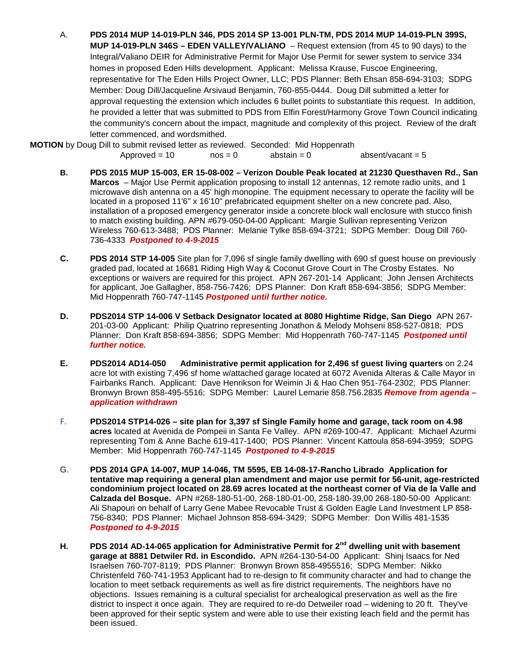A. **PDS 2014 MUP 14-019-PLN 346, PDS 2014 SP 13-001 PLN-TM, PDS 2014 MUP 14-019-PLN 399S, MUP 14-019-PLN 346S – EDEN VALLEY/VALIANO** – Request extension (from 45 to 90 days) to the Integral/Valiano DEIR for Administrative Permit for Major Use Permit for sewer system to service 334 homes in proposed Eden Hills development. Applicant: Melissa Krause, Fuscoe Engineering, representative for The Eden Hills Project Owner, LLC; PDS Planner: Beth Ehsan 858-694-3103; SDPG Member: Doug Dill/Jacqueline Arsivaud Benjamin, 760-855-0444. Doug Dill submitted a letter for approval requesting the extension which includes 6 bullet points to substantiate this request. In addition, he provided a letter that was submitted to PDS from Elfin Forest/Harmony Grove Town Council indicating the community's concern about the impact, magnitude and complexity of this project. Review of the draft letter commenced, and wordsmithed.

**MOTION** by Doug Dill to submit revised letter as reviewed. Seconded: Mid Hoppenrath

 $Approved = 10$   $nos = 0$   $abstant = 0$   $absent/vacant = 5$ 

- **B. PDS 2015 MUP 15-003, ER 15-08-002 – Verizon Double Peak located at 21230 Questhaven Rd., San Marcos** – Major Use Permit application proposing to install 12 antennas, 12 remote radio units, and 1 microwave dish antenna on a 45' high monopine. The equipment necessary to operate the facility will be located in a proposed 11'6" x 16'10" prefabricated equipment shelter on a new concrete pad. Also, installation of a proposed emergency generator inside a concrete block wall enclosure with stucco finish to match existing building. APN #679-050-04-00 Applicant: Margie Sullivan representing Verizon Wireless 760-613-3488; PDS Planner: Melanie Tylke 858-694-3721; SDPG Member: Doug Dill 760- 736-4333 *Postponed to 4-9-2015*
- **C. PDS 2014 STP 14-005** Site plan for 7,096 sf single family dwelling with 690 sf guest house on previously graded pad, located at 16681 Riding High Way & Coconut Grove Court in The Crosby Estates. No exceptions or waivers are required for this project. APN 267-201-14 Applicant: John Jensen Architects for applicant, Joe Gallagher, 858-756-7426; DPS Planner: Don Kraft 858-694-3856; SDPG Member: Mid Hoppenrath 760-747-1145 *Postponed until further notice.*
- **D. PDS2014 STP 14-006 V Setback Designator located at 8080 Hightime Ridge, San Diego** APN 267- 201-03-00 Applicant: Philip Quatrino representing Jonathon & Melody Mohseni 858-527-0818; PDS Planner: Don Kraft 858-694-3856; SDPG Member: Mid Hoppenrath 760-747-1145 *Postponed until further notice.*
- **E. PDS2014 AD14-050 Administrative permit application for 2,496 sf guest living quarters** on 2.24 acre lot with existing 7,496 sf home w/attached garage located at 6072 Avenida Alteras & Calle Mayor in Fairbanks Ranch. Applicant: Dave Henrikson for Weimin Ji & Hao Chen 951-764-2302; PDS Planner: Bronwyn Brown 858-495-5516; SDPG Member: Laurel Lemarie 858.756.2835 *Remove from agenda – application withdrawn*
- F. **PDS2014 STP14-026 – site plan for 3,397 sf Single Family home and garage, tack room on 4.98 acres** located at Avenida de Pompeii in Santa Fe Valley. APN #269-100-47. Applicant: Michael Azurmi representing Tom & Anne Bache 619-417-1400; PDS Planner: Vincent Kattoula 858-694-3959; SDPG Member: Mid Hoppenrath 760-747-1145 *Postponed to 4-9-2015*
- G. **PDS 2014 GPA 14-007, MUP 14-046, TM 5595, EB 14-08-17-Rancho Librado Application for tentative map requiring a general plan amendment and major use permit for 56-unit, age-restricted condominium project located on 28.69 acres located at the northeast corner of Via de la Valle and Calzada del Bosque.** APN #268-180-51-00, 268-180-01-00, 258-180-39,00 268-180-50-00 Applicant: Ali Shapouri on behalf of Larry Gene Mabee Revocable Trust & Golden Eagle Land Investment LP 858- 756-8340; PDS Planner: Michael Johnson 858-694-3429; SDPG Member: Don Willis 481-1535 *Postponed to 4-9-2015*
- **H. PDS 2014 AD-14-065 application for Administrative Permit for 2nd dwelling unit with basement garage at 8881 Detwiler Rd. in Escondido.** APN #264-130-54-00 Applicant: Shinj Isaacs for Ned Israelsen 760-707-8119; PDS Planner: Bronwyn Brown 858-4955516; SDPG Member: Nikko Christenfeld 760-741-1953 Applicant had to re-design to fit community character and had to change the location to meet setback requirements as well as fire district requirements. The neighbors have no objections. Issues remaining is a cultural specialist for archealogical preservation as well as the fire district to inspect it once again. They are required to re-do Detweiler road – widening to 20 ft. They've been approved for their septic system and were able to use their existing leach field and the permit has been issued.